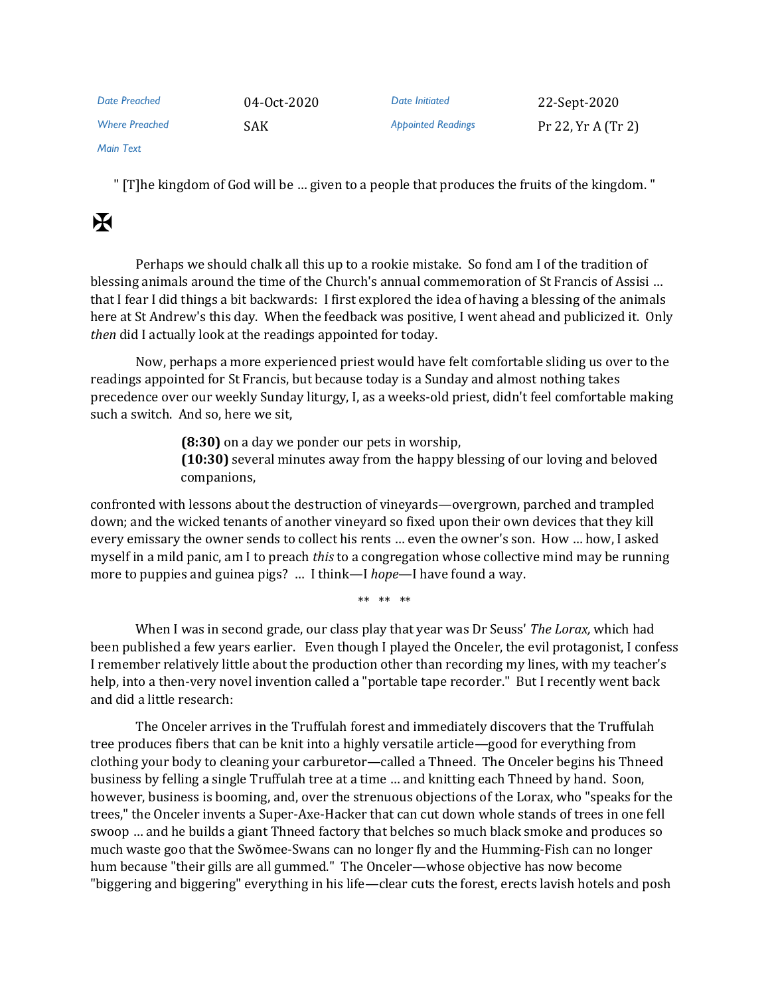| Date Preached         | 04-0ct-2020 | Date Initiated            | 22-Sept-2020       |
|-----------------------|-------------|---------------------------|--------------------|
| <b>Where Preached</b> | SAK.        | <b>Appointed Readings</b> | Pr 22, Yr A (Tr 2) |

*Main Text*

" [T]he kingdom of God will be … given to a people that produces the fruits of the kingdom. "

## $\mathbf H$

Perhaps we should chalk all this up to a rookie mistake. So fond am I of the tradition of blessing animals around the time of the Church's annual commemoration of St Francis of Assisi … that I fear I did things a bit backwards: I first explored the idea of having a blessing of the animals here at St Andrew's this day. When the feedback was positive, I went ahead and publicized it. Only *then* did I actually look at the readings appointed for today.

Now, perhaps a more experienced priest would have felt comfortable sliding us over to the readings appointed for St Francis, but because today is a Sunday and almost nothing takes precedence over our weekly Sunday liturgy, I, as a weeks-old priest, didn't feel comfortable making such a switch. And so, here we sit,

> **(8:30)** on a day we ponder our pets in worship, **(10:30)** several minutes away from the happy blessing of our loving and beloved companions,

confronted with lessons about the destruction of vineyards—overgrown, parched and trampled down; and the wicked tenants of another vineyard so fixed upon their own devices that they kill every emissary the owner sends to collect his rents … even the owner's son. How … how, I asked myself in a mild panic, am I to preach *this* to a congregation whose collective mind may be running more to puppies and guinea pigs? … I think—I *hope*—I have found a way.

\*\* \*\* \*\*

When I was in second grade, our class play that year was Dr Seuss' *The Lorax,* which had been published a few years earlier. Even though I played the Onceler, the evil protagonist, I confess I remember relatively little about the production other than recording my lines, with my teacher's help, into a then-very novel invention called a "portable tape recorder." But I recently went back and did a little research:

The Onceler arrives in the Truffulah forest and immediately discovers that the Truffulah tree produces fibers that can be knit into a highly versatile article—good for everything from clothing your body to cleaning your carburetor—called a Thneed. The Onceler begins his Thneed business by felling a single Truffulah tree at a time … and knitting each Thneed by hand. Soon, however, business is booming, and, over the strenuous objections of the Lorax, who "speaks for the trees," the Onceler invents a Super-Axe-Hacker that can cut down whole stands of trees in one fell swoop … and he builds a giant Thneed factory that belches so much black smoke and produces so much waste goo that the Swŏmee-Swans can no longer fly and the Humming-Fish can no longer hum because "their gills are all gummed." The Onceler—whose objective has now become "biggering and biggering" everything in his life—clear cuts the forest, erects lavish hotels and posh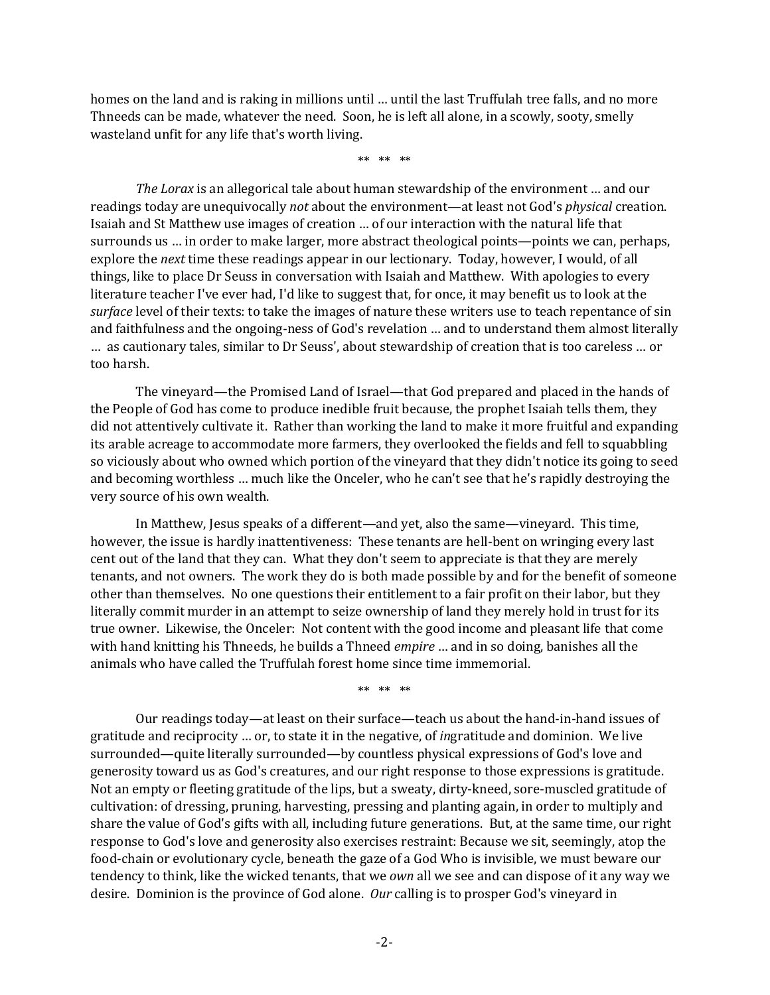homes on the land and is raking in millions until … until the last Truffulah tree falls, and no more Thneeds can be made, whatever the need. Soon, he is left all alone, in a scowly, sooty, smelly wasteland unfit for any life that's worth living.

\*\* \*\* \*\*

*The Lorax* is an allegorical tale about human stewardship of the environment … and our readings today are unequivocally *not* about the environment—at least not God's *physical* creation. Isaiah and St Matthew use images of creation … of our interaction with the natural life that surrounds us … in order to make larger, more abstract theological points—points we can, perhaps, explore the *next* time these readings appear in our lectionary. Today, however, I would, of all things, like to place Dr Seuss in conversation with Isaiah and Matthew. With apologies to every literature teacher I've ever had, I'd like to suggest that, for once, it may benefit us to look at the *surface* level of their texts: to take the images of nature these writers use to teach repentance of sin and faithfulness and the ongoing-ness of God's revelation … and to understand them almost literally … as cautionary tales, similar to Dr Seuss', about stewardship of creation that is too careless … or too harsh.

The vineyard—the Promised Land of Israel—that God prepared and placed in the hands of the People of God has come to produce inedible fruit because, the prophet Isaiah tells them, they did not attentively cultivate it. Rather than working the land to make it more fruitful and expanding its arable acreage to accommodate more farmers, they overlooked the fields and fell to squabbling so viciously about who owned which portion of the vineyard that they didn't notice its going to seed and becoming worthless … much like the Onceler, who he can't see that he's rapidly destroying the very source of his own wealth.

In Matthew, Jesus speaks of a different—and yet, also the same—vineyard. This time, however, the issue is hardly inattentiveness: These tenants are hell-bent on wringing every last cent out of the land that they can. What they don't seem to appreciate is that they are merely tenants, and not owners. The work they do is both made possible by and for the benefit of someone other than themselves. No one questions their entitlement to a fair profit on their labor, but they literally commit murder in an attempt to seize ownership of land they merely hold in trust for its true owner. Likewise, the Onceler: Not content with the good income and pleasant life that come with hand knitting his Thneeds, he builds a Thneed *empire* … and in so doing, banishes all the animals who have called the Truffulah forest home since time immemorial.

\*\* \*\* \*\*

Our readings today—at least on their surface—teach us about the hand-in-hand issues of gratitude and reciprocity … or, to state it in the negative, of *in*gratitude and dominion. We live surrounded—quite literally surrounded—by countless physical expressions of God's love and generosity toward us as God's creatures, and our right response to those expressions is gratitude. Not an empty or fleeting gratitude of the lips, but a sweaty, dirty-kneed, sore-muscled gratitude of cultivation: of dressing, pruning, harvesting, pressing and planting again, in order to multiply and share the value of God's gifts with all, including future generations. But, at the same time, our right response to God's love and generosity also exercises restraint: Because we sit, seemingly, atop the food-chain or evolutionary cycle, beneath the gaze of a God Who is invisible, we must beware our tendency to think, like the wicked tenants, that we *own* all we see and can dispose of it any way we desire. Dominion is the province of God alone. *Our* calling is to prosper God's vineyard in